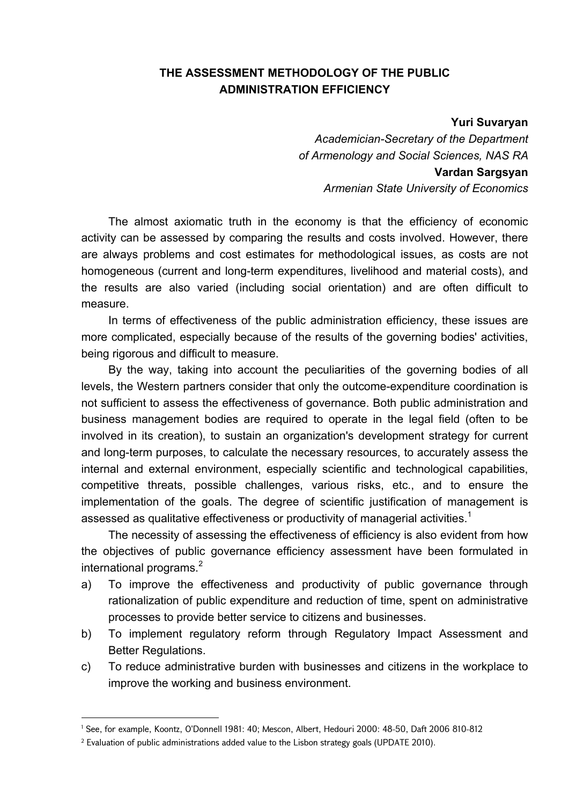## **THE ASSESSMENT METHODOLOGY OF THE PUBLIC ADMINISTRATION EFFICIENCY**

**Yuri Suvaryan** 

*Academician-Secretary of the Department of Armenology and Social Sciences, NAS RA* **Vardan Sargsyan**  *Armenian State University of Economics* 

The almost axiomatic truth in the economy is that the efficiency of economic activity can be assessed by comparing the results and costs involved. However, there are always problems and cost estimates for methodological issues, as costs are not homogeneous (current and long-term expenditures, livelihood and material costs), and the results are also varied (including social orientation) and are often difficult to measure.

In terms of effectiveness of the public administration efficiency, these issues are more complicated, especially because of the results of the governing bodies' activities, being rigorous and difficult to measure.

By the way, taking into account the peculiarities of the governing bodies of all levels, the Western partners consider that only the outcome-expenditure coordination is not sufficient to assess the effectiveness of governance. Both public administration and business management bodies are required to operate in the legal field (often to be involved in its creation), to sustain an organization's development strategy for current and long-term purposes, to calculate the necessary resources, to accurately assess the internal and external environment, especially scientific and technological capabilities, competitive threats, possible challenges, various risks, etc., and to ensure the implementation of the goals. The degree of scientific justification of management is assessed as qualitative effectiveness or productivity of managerial activities.<sup>1</sup>

The necessity of assessing the effectiveness of efficiency is also evident from how the objectives of public governance efficiency assessment have been formulated in international programs.<sup>2</sup>

- a) To improve the effectiveness and productivity of public governance through rationalization of public expenditure and reduction of time, spent on administrative processes to provide better service to citizens and businesses.
- b) To implement regulatory reform through Regulatory Impact Assessment and Better Regulations.
- c) To reduce administrative burden with businesses and citizens in the workplace to improve the working and business environment.

<u>.</u>

<sup>1</sup> See, for example, Koontz, O'Donnell 1981: 40; Mescon, Albert, Hedouri 2000: 48-50, Daft 2006 810-812

 $^2$  Evaluation of public administrations added value to the Lisbon strategy goals (UPDATE 2010).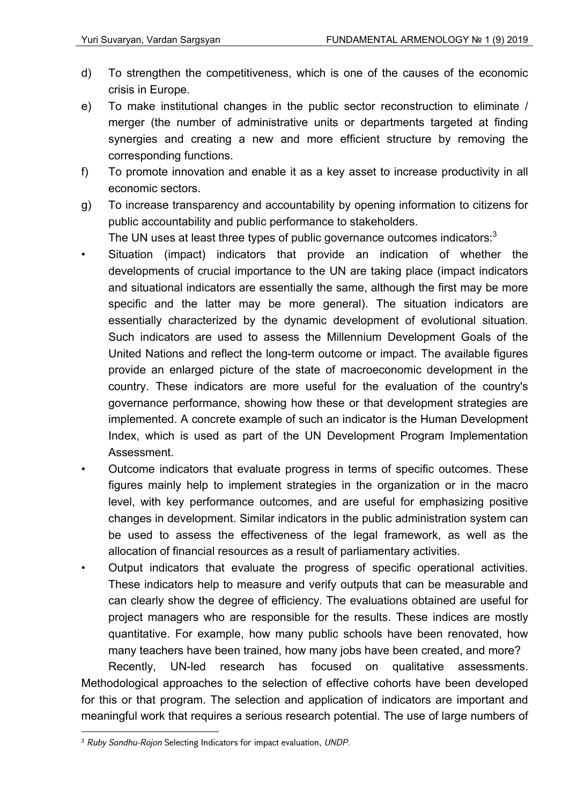- d) To strengthen the competitiveness, which is one of the causes of the economic crisis in Europe.
- e) To make institutional changes in the public sector reconstruction to eliminate / merger (the number of administrative units or departments targeted at finding synergies and creating a new and more efficient structure by removing the corresponding functions.
- f) To promote innovation and enable it as a key asset to increase productivity in all economic sectors.
- g) To increase transparency and accountability by opening information to citizens for public accountability and public performance to stakeholders.

The UN uses at least three types of public governance outcomes indicators:<sup>3</sup>

- Situation (impact) indicators that provide an indication of whether the developments of crucial importance to the UN are taking place (impact indicators and situational indicators are essentially the same, although the first may be more specific and the latter may be more general). The situation indicators are essentially characterized by the dynamic development of evolutional situation. Such indicators are used to assess the Millennium Development Goals of the United Nations and reflect the long-term outcome or impact. The available figures provide an enlarged picture of the state of macroeconomic development in the country. These indicators are more useful for the evaluation of the country's governance performance, showing how these or that development strategies are implemented. A concrete example of such an indicator is the Human Development Index, which is used as part of the UN Development Program Implementation Assessment.
- Outcome indicators that evaluate progress in terms of specific outcomes. These figures mainly help to implement strategies in the organization or in the macro level, with key performance outcomes, and are useful for emphasizing positive changes in development. Similar indicators in the public administration system can be used to assess the effectiveness of the legal framework, as well as the allocation of financial resources as a result of parliamentary activities.
- Output indicators that evaluate the progress of specific operational activities. These indicators help to measure and verify outputs that can be measurable and can clearly show the degree of efficiency. The evaluations obtained are useful for project managers who are responsible for the results. These indices are mostly quantitative. For example, how many public schools have been renovated, how many teachers have been trained, how many jobs have been created, and more?

Recently, UN-led research has focused on qualitative assessments. Methodological approaches to the selection of effective cohorts have been developed for this or that program. The selection and application of indicators are important and meaningful work that requires a serious research potential. The use of large numbers of

<sup>3</sup> *Ruby Sandhu-Rojon* Selecting Indicators for impact evaluation, *UNDP.*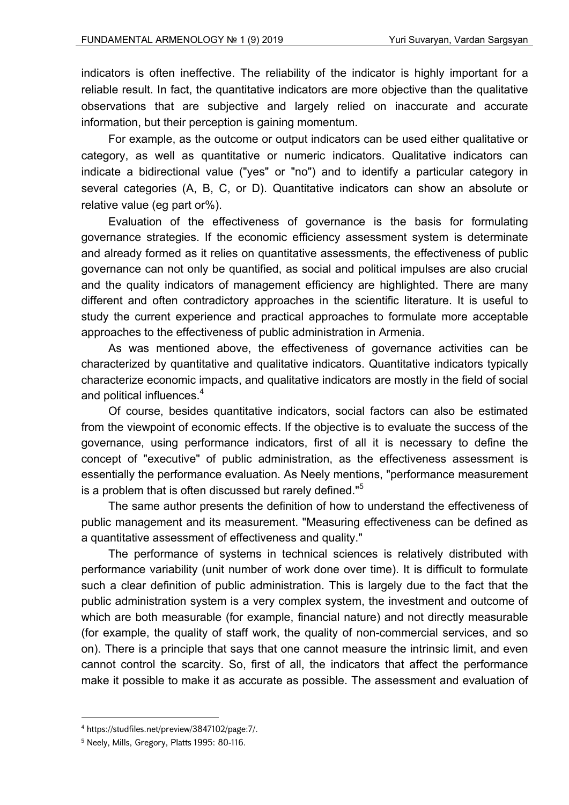indicators is often ineffective. The reliability of the indicator is highly important for a reliable result. In fact, the quantitative indicators are more objective than the qualitative observations that are subjective and largely relied on inaccurate and accurate information, but their perception is gaining momentum.

For example, as the outcome or output indicators can be used either qualitative or category, as well as quantitative or numeric indicators. Qualitative indicators can indicate a bidirectional value ("yes" or "no") and to identify a particular category in several categories (A, B, C, or D). Quantitative indicators can show an absolute or relative value (eg part or%).

Evaluation of the effectiveness of governance is the basis for formulating governance strategies. If the economic efficiency assessment system is determinate and already formed as it relies on quantitative assessments, the effectiveness of public governance can not only be quantified, as social and political impulses are also crucial and the quality indicators of management efficiency are highlighted. There are many different and often contradictory approaches in the scientific literature. It is useful to study the current experience and practical approaches to formulate more acceptable approaches to the effectiveness of public administration in Armenia.

As was mentioned above, the effectiveness of governance activities can be characterized by quantitative and qualitative indicators. Quantitative indicators typically characterize economic impacts, and qualitative indicators are mostly in the field of social and political influences.<sup>4</sup>

Of course, besides quantitative indicators, social factors can also be estimated from the viewpoint of economic effects. If the objective is to evaluate the success of the governance, using performance indicators, first of all it is necessary to define the concept of "executive" of public administration, as the effectiveness assessment is essentially the performance evaluation. As Neely mentions, "performance measurement is a problem that is often discussed but rarely defined."<sup>5</sup>

The same author presents the definition of how to understand the effectiveness of public management and its measurement. "Measuring effectiveness can be defined as a quantitative assessment of effectiveness and quality."

The performance of systems in technical sciences is relatively distributed with performance variability (unit number of work done over time). It is difficult to formulate such a clear definition of public administration. This is largely due to the fact that the public administration system is a very complex system, the investment and outcome of which are both measurable (for example, financial nature) and not directly measurable (for example, the quality of staff work, the quality of non-commercial services, and so on). There is a principle that says that one cannot measure the intrinsic limit, and even cannot control the scarcity. So, first of all, the indicators that affect the performance make it possible to make it as accurate as possible. The assessment and evaluation of

<u>.</u>

<sup>4</sup> https://studfiles.net/preview/3847102/page:7/.

<sup>5</sup> Neely, Mills, Gregory, Platts 1995: 80-116.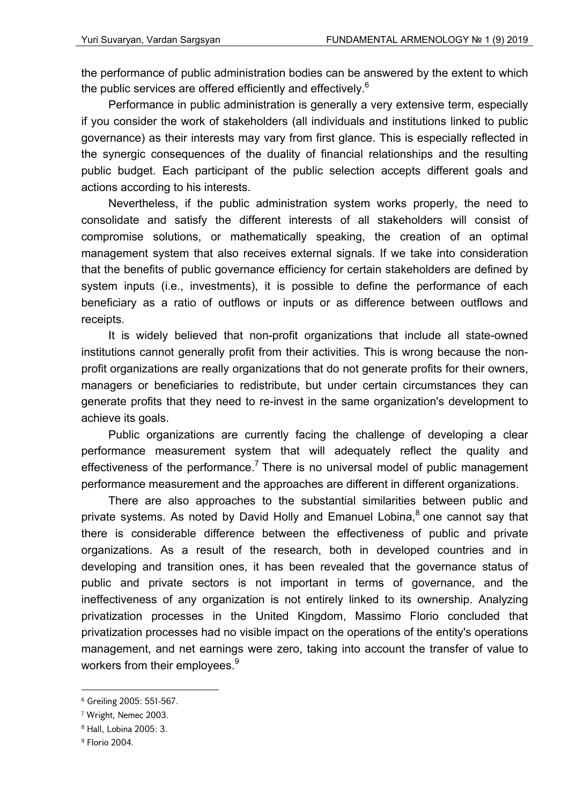the performance of public administration bodies can be answered by the extent to which the public services are offered efficiently and effectively. $6$ 

Performance in public administration is generally a very extensive term, especially if you consider the work of stakeholders (all individuals and institutions linked to public governance) as their interests may vary from first glance. This is especially reflected in the synergic consequences of the duality of financial relationships and the resulting public budget. Each participant of the public selection accepts different goals and actions according to his interests.

Nevertheless, if the public administration system works properly, the need to consolidate and satisfy the different interests of all stakeholders will consist of compromise solutions, or mathematically speaking, the creation of an optimal management system that also receives external signals. If we take into consideration that the benefits of public governance efficiency for certain stakeholders are defined by system inputs (i.e., investments), it is possible to define the performance of each beneficiary as a ratio of outflows or inputs or as difference between outflows and receipts.

It is widely believed that non-profit organizations that include all state-owned institutions cannot generally profit from their activities. This is wrong because the nonprofit organizations are really organizations that do not generate profits for their owners, managers or beneficiaries to redistribute, but under certain circumstances they can generate profits that they need to re-invest in the same organization's development to achieve its goals.

Public organizations are currently facing the challenge of developing a clear performance measurement system that will adequately reflect the quality and effectiveness of the performance.<sup>7</sup> There is no universal model of public management performance measurement and the approaches are different in different organizations.

There are also approaches to the substantial similarities between public and private systems. As noted by David Holly and Emanuel Lobina,<sup>8</sup> one cannot say that there is considerable difference between the effectiveness of public and private organizations. As a result of the research, both in developed countries and in developing and transition ones, it has been revealed that the governance status of public and private sectors is not important in terms of governance, and the ineffectiveness of any organization is not entirely linked to its ownership. Analyzing privatization processes in the United Kingdom, Massimo Florio concluded that privatization processes had no visible impact on the operations of the entity's operations management, and net earnings were zero, taking into account the transfer of value to workers from their employees.<sup>9</sup>

<sup>6</sup> Greiling 2005: 551-567.

<sup>7</sup> Wright, Nemec 2003.

<sup>8</sup> Hall, Lobina 2005: 3.

<sup>9</sup> Florio 2004.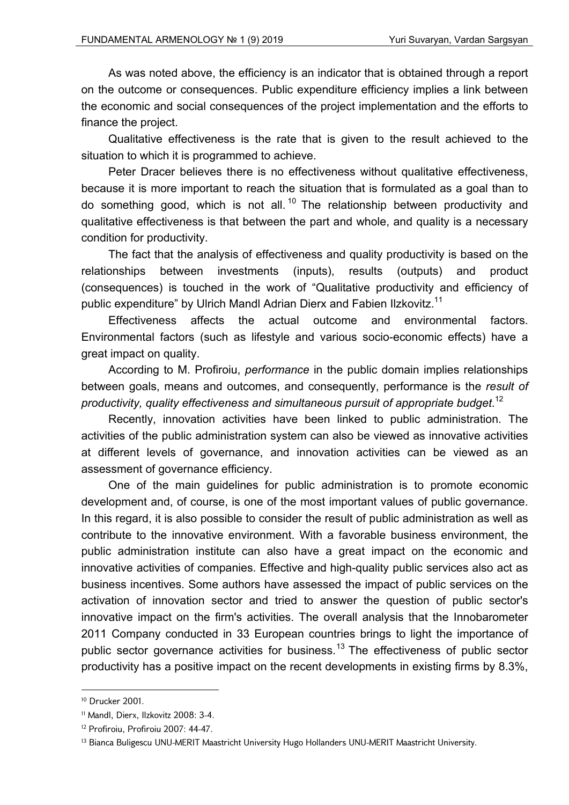As was noted above, the efficiency is an indicator that is obtained through a report on the outcome or consequences. Public expenditure efficiency implies a link between the economic and social consequences of the project implementation and the efforts to finance the project.

Qualitative effectiveness is the rate that is given to the result achieved to the situation to which it is programmed to achieve.

Peter Dracer believes there is no effectiveness without qualitative effectiveness, because it is more important to reach the situation that is formulated as a goal than to do something good, which is not all.<sup>10</sup> The relationship between productivity and qualitative effectiveness is that between the part and whole, and quality is a necessary condition for productivity.

The fact that the analysis of effectiveness and quality productivity is based on the relationships between investments (inputs), results (outputs) and product (consequences) is touched in the work of "Qualitative productivity and efficiency of public expenditure" by Ulrich Mandl Adrian Dierx and Fabien Ilzkovitz.<sup>11</sup>

Effectiveness affects the actual outcome and environmental factors. Environmental factors (such as lifestyle and various socio-economic effects) have a great impact on quality.

According to M. Profiroiu, *performance* in the public domain implies relationships between goals, means and outcomes, and consequently, performance is the *result of productivity, quality effectiveness and simultaneous pursuit of appropriate budget*. 12

Recently, innovation activities have been linked to public administration. The activities of the public administration system can also be viewed as innovative activities at different levels of governance, and innovation activities can be viewed as an assessment of governance efficiency.

One of the main guidelines for public administration is to promote economic development and, of course, is one of the most important values of public governance. In this regard, it is also possible to consider the result of public administration as well as contribute to the innovative environment. With a favorable business environment, the public administration institute can also have a great impact on the economic and innovative activities of companies. Effective and high-quality public services also act as business incentives. Some authors have assessed the impact of public services on the activation of innovation sector and tried to answer the question of public sector's innovative impact on the firm's activities. The overall analysis that the Innobarometer 2011 Company conducted in 33 European countries brings to light the importance of public sector governance activities for business.<sup>13</sup> The effectiveness of public sector productivity has a positive impact on the recent developments in existing firms by 8.3%,

<sup>10</sup> Drucker 2001.

<sup>11</sup> Mandl, Dierx, Ilzkovitz 2008: 3-4.

<sup>12</sup> Profiroiu, Profiroiu 2007: 44-47.

<sup>&</sup>lt;sup>13</sup> Bianca Buligescu UNU-MERIT Maastricht University Hugo Hollanders UNU-MERIT Maastricht University.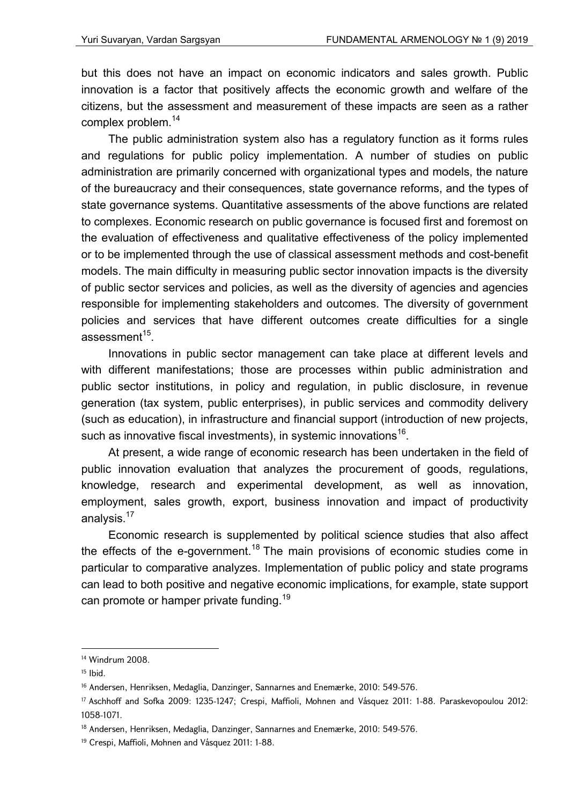but this does not have an impact on economic indicators and sales growth. Public innovation is a factor that positively affects the economic growth and welfare of the citizens, but the assessment and measurement of these impacts are seen as a rather complex problem.<sup>14</sup>

The public administration system also has a regulatory function as it forms rules and regulations for public policy implementation. A number of studies on public administration are primarily concerned with organizational types and models, the nature of the bureaucracy and their consequences, state governance reforms, and the types of state governance systems. Quantitative assessments of the above functions are related to complexes. Economic research on public governance is focused first and foremost on the evaluation of effectiveness and qualitative effectiveness of the policy implemented or to be implemented through the use of classical assessment methods and cost-benefit models. The main difficulty in measuring public sector innovation impacts is the diversity of public sector services and policies, as well as the diversity of agencies and agencies responsible for implementing stakeholders and outcomes. The diversity of government policies and services that have different outcomes create difficulties for a single assessment $15$ .

Innovations in public sector management can take place at different levels and with different manifestations; those are processes within public administration and public sector institutions, in policy and regulation, in public disclosure, in revenue generation (tax system, public enterprises), in public services and commodity delivery (such as education), in infrastructure and financial support (introduction of new projects, such as innovative fiscal investments), in systemic innovations<sup>16</sup>.

At present, a wide range of economic research has been undertaken in the field of public innovation evaluation that analyzes the procurement of goods, regulations, knowledge, research and experimental development, as well as innovation, employment, sales growth, export, business innovation and impact of productivity analysis.<sup>17</sup>

Economic research is supplemented by political science studies that also affect the effects of the e-government.<sup>18</sup> The main provisions of economic studies come in particular to comparative analyzes. Implementation of public policy and state programs can lead to both positive and negative economic implications, for example, state support can promote or hamper private funding.<sup>19</sup>

<sup>14</sup> Windrum 2008.

 $15$  Ibid.

<sup>16</sup> Andersen, Henriksen, Medaglia, Danzinger, Sannarnes and Enemærke, 2010: 549-576.

<sup>17</sup> Aschhoff and Sofka 2009: 1235-1247; Crespi, Maffioli, Mohnen and Vásquez 2011: 1-88. Paraskevopoulou 2012: 1058-1071.

<sup>18</sup> Andersen, Henriksen, Medaglia, Danzinger, Sannarnes and Enemærke, 2010: 549-576.

<sup>19</sup> Crespi, Maffioli, Mohnen and Vásquez 2011: 1-88.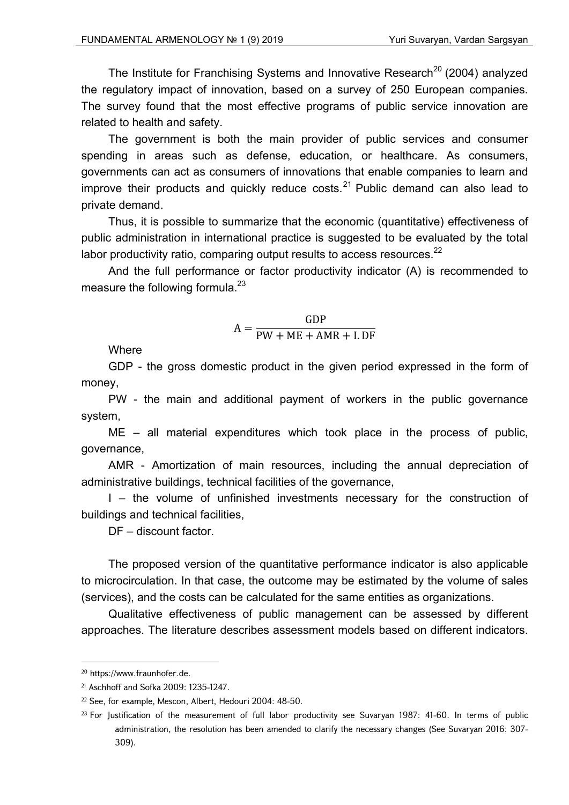The Institute for Franchising Systems and Innovative Research<sup>20</sup> (2004) analyzed the regulatory impact of innovation, based on a survey of 250 European companies. The survey found that the most effective programs of public service innovation are related to health and safety.

The government is both the main provider of public services and consumer spending in areas such as defense, education, or healthcare. As consumers, governments can act as consumers of innovations that enable companies to learn and improve their products and quickly reduce costs. $^{21}$  Public demand can also lead to private demand.

Thus, it is possible to summarize that the economic (quantitative) effectiveness of public administration in international practice is suggested to be evaluated by the total labor productivity ratio, comparing output results to access resources. $^{22}$ 

And the full performance or factor productivity indicator (A) is recommended to measure the following formula. $^{23}$ 

$$
A = \frac{GDP}{PW + ME + AMR + I. DF}
$$

**Where** 

GDP - the gross domestic product in the given period expressed in the form of money,

PW - the main and additional payment of workers in the public governance system,

ME – all material expenditures which took place in the process of public, governance,

AMR - Amortization of main resources, including the annual depreciation of administrative buildings, technical facilities of the governance,

I – the volume of unfinished investments necessary for the construction of buildings and technical facilities,

DF – discount factor.

The proposed version of the quantitative performance indicator is also applicable to microcirculation. In that case, the outcome may be estimated by the volume of sales (services), and the costs can be calculated for the same entities as organizations.

Qualitative effectiveness of public management can be assessed by different approaches. The literature describes assessment models based on different indicators.

<sup>20</sup> https://www.fraunhofer.de.

<sup>21</sup> Aschhoff and Sofka 2009: 1235-1247.

<sup>22</sup> See, for example, Mescon, Albert, Hedouri 2004: 48-50.

<sup>&</sup>lt;sup>23</sup> For Justification of the measurement of full labor productivity see Suvaryan 1987: 41-60. In terms of public administration, the resolution has been amended to clarify the necessary changes (See Suvaryan 2016: 307- 309).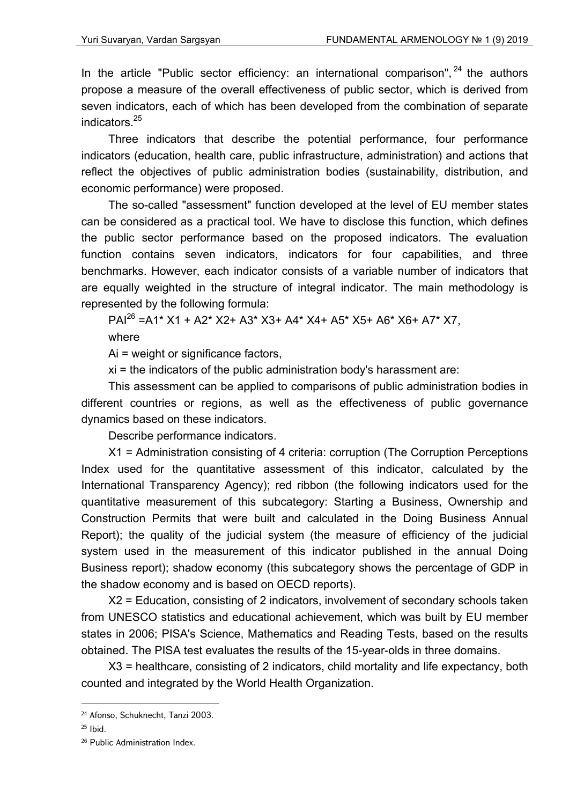In the article "Public sector efficiency: an international comparison",  $24$  the authors propose a measure of the overall effectiveness of public sector, which is derived from seven indicators, each of which has been developed from the combination of separate indicators.25

Three indicators that describe the potential performance, four performance indicators (education, health care, public infrastructure, administration) and actions that reflect the objectives of public administration bodies (sustainability, distribution, and economic performance) were proposed.

The so-called "assessment" function developed at the level of EU member states can be considered as a practical tool. We have to disclose this function, which defines the public sector performance based on the proposed indicators. The evaluation function contains seven indicators, indicators for four capabilities, and three benchmarks. However, each indicator consists of a variable number of indicators that are equally weighted in the structure of integral indicator. The main methodology is represented by the following formula:

PAI26 =A1\* X1 + A2\* X2+ A3\* X3+ A4\* X4+ A5\* X5+ A6\* X6+ A7\* X7, where

Ai = weight or significance factors,

xi = the indicators of the public administration body's harassment are:

This assessment can be applied to comparisons of public administration bodies in different countries or regions, as well as the effectiveness of public governance dynamics based on these indicators.

Describe performance indicators.

X1 = Administration consisting of 4 criteria: corruption (The Corruption Perceptions Index used for the quantitative assessment of this indicator, calculated by the International Transparency Agency); red ribbon (the following indicators used for the quantitative measurement of this subcategory: Starting a Business, Ownership and Construction Permits that were built and calculated in the Doing Business Annual Report); the quality of the judicial system (the measure of efficiency of the judicial system used in the measurement of this indicator published in the annual Doing Business report); shadow economy (this subcategory shows the percentage of GDP in the shadow economy and is based on OECD reports).

X2 = Education, consisting of 2 indicators, involvement of secondary schools taken from UNESCO statistics and educational achievement, which was built by EU member states in 2006; PISA's Science, Mathematics and Reading Tests, based on the results obtained. The PISA test evaluates the results of the 15-year-olds in three domains.

X3 = healthcare, consisting of 2 indicators, child mortality and life expectancy, both counted and integrated by the World Health Organization.

<sup>24</sup> Afonso, Schuknecht, Tanzi 2003.

 $25$  Ibid.

<sup>&</sup>lt;sup>26</sup> Public Administration Index.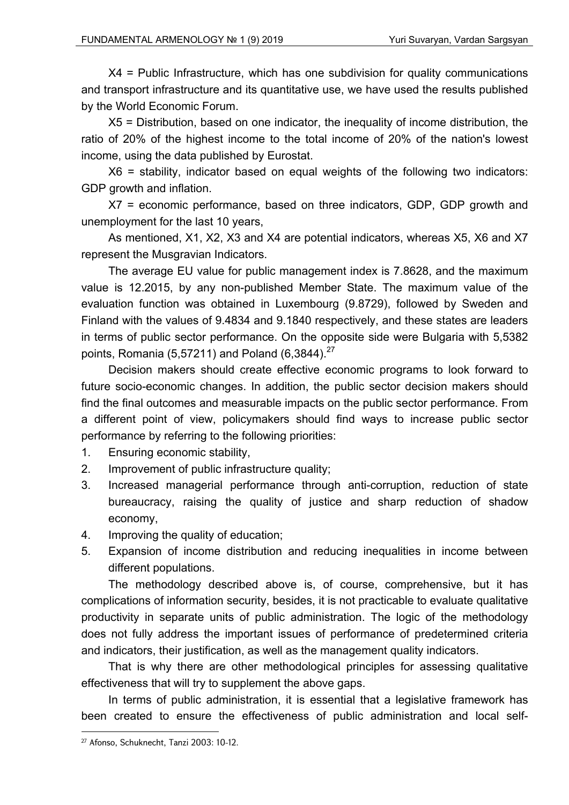X4 = Public Infrastructure, which has one subdivision for quality communications and transport infrastructure and its quantitative use, we have used the results published by the World Economic Forum.

X5 = Distribution, based on one indicator, the inequality of income distribution, the ratio of 20% of the highest income to the total income of 20% of the nation's lowest income, using the data published by Eurostat.

X6 = stability, indicator based on equal weights of the following two indicators: GDP growth and inflation.

X7 = economic performance, based on three indicators, GDP, GDP growth and unemployment for the last 10 years,

As mentioned, X1, X2, X3 and X4 are potential indicators, whereas X5, X6 and X7 represent the Musgravian Indicators.

The average EU value for public management index is 7.8628, and the maximum value is 12.2015, by any non-published Member State. The maximum value of the evaluation function was obtained in Luxembourg (9.8729), followed by Sweden and Finland with the values of 9.4834 and 9.1840 respectively, and these states are leaders in terms of public sector performance. On the opposite side were Bulgaria with 5,5382 points, Romania (5,57211) and Poland (6,3844).<sup>27</sup>

Decision makers should create effective economic programs to look forward to future socio-economic changes. In addition, the public sector decision makers should find the final outcomes and measurable impacts on the public sector performance. From a different point of view, policymakers should find ways to increase public sector performance by referring to the following priorities:

- 1. Ensuring economic stability,
- 2. Improvement of public infrastructure quality;
- 3. Increased managerial performance through anti-corruption, reduction of state bureaucracy, raising the quality of justice and sharp reduction of shadow economy,
- 4. Improving the quality of education;
- 5. Expansion of income distribution and reducing inequalities in income between different populations.

The methodology described above is, of course, comprehensive, but it has complications of information security, besides, it is not practicable to evaluate qualitative productivity in separate units of public administration. The logic of the methodology does not fully address the important issues of performance of predetermined criteria and indicators, their justification, as well as the management quality indicators.

That is why there are other methodological principles for assessing qualitative effectiveness that will try to supplement the above gaps.

In terms of public administration, it is essential that a legislative framework has been created to ensure the effectiveness of public administration and local self-

<sup>27</sup> Afonso, Schuknecht, Tanzi 2003: 10-12.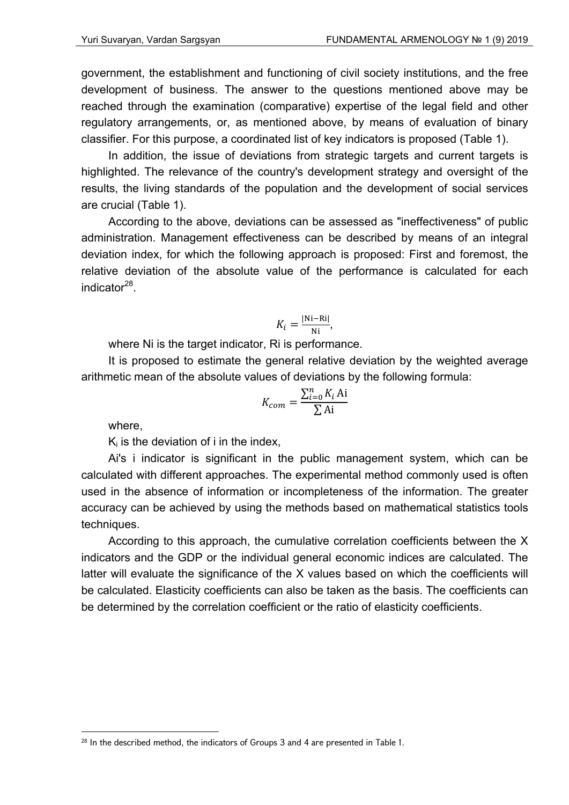government, the establishment and functioning of civil society institutions, and the free development of business. The answer to the questions mentioned above may be reached through the examination (comparative) expertise of the legal field and other regulatory arrangements, or, as mentioned above, by means of evaluation of binary classifier. For this purpose, a coordinated list of key indicators is proposed (Table 1).

In addition, the issue of deviations from strategic targets and current targets is highlighted. The relevance of the country's development strategy and oversight of the results, the living standards of the population and the development of social services are crucial (Table 1).

According to the above, deviations can be assessed as "ineffectiveness" of public administration. Management effectiveness can be described by means of an integral deviation index, for which the following approach is proposed: First and foremost, the relative deviation of the absolute value of the performance is calculated for each indicator $^{28}$ .

$$
K_i = \frac{|\text{Ni}-\text{Ri}|}{\text{Ni}},
$$

where Ni is the target indicator, Ri is performance.

It is proposed to estimate the general relative deviation by the weighted average arithmetic mean of the absolute values of deviations by the following formula:

$$
K_{com} = \frac{\sum_{i=0}^{n} K_i Ai}{\sum Ai}
$$

where,

1

 $K_i$  is the deviation of i in the index,

Ai's i indicator is significant in the public management system, which can be calculated with different approaches. The experimental method commonly used is often used in the absence of information or incompleteness of the information. The greater accuracy can be achieved by using the methods based on mathematical statistics tools techniques.

According to this approach, the cumulative correlation coefficients between the X indicators and the GDP or the individual general economic indices are calculated. The latter will evaluate the significance of the X values based on which the coefficients will be calculated. Elasticity coefficients can also be taken as the basis. The coefficients can be determined by the correlation coefficient or the ratio of elasticity coefficients.

<sup>&</sup>lt;sup>28</sup> In the described method, the indicators of Groups 3 and 4 are presented in Table 1.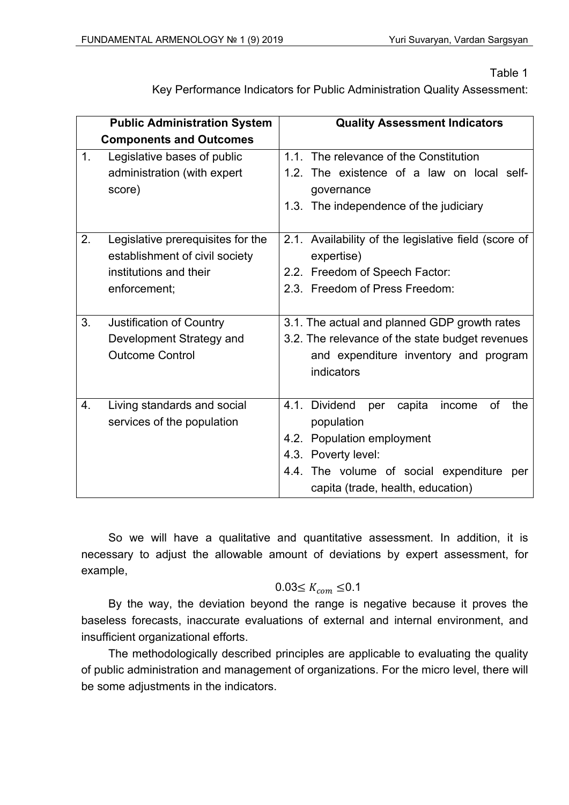Table 1

Key Performance Indicators for Public Administration Quality Assessment:

|    | <b>Public Administration System</b> | <b>Quality Assessment Indicators</b>                  |
|----|-------------------------------------|-------------------------------------------------------|
|    | <b>Components and Outcomes</b>      |                                                       |
| 1. | Legislative bases of public         | 1.1. The relevance of the Constitution                |
|    | administration (with expert         | 1.2. The existence of a law on local self-            |
|    | score)                              | governance                                            |
|    |                                     | 1.3. The independence of the judiciary                |
|    |                                     |                                                       |
| 2. | Legislative prerequisites for the   | 2.1. Availability of the legislative field (score of  |
|    | establishment of civil society      | expertise)                                            |
|    | institutions and their              | 2.2. Freedom of Speech Factor:                        |
|    | enforcement;                        | 2.3. Freedom of Press Freedom:                        |
|    |                                     |                                                       |
| 3. | <b>Justification of Country</b>     | 3.1. The actual and planned GDP growth rates          |
|    | Development Strategy and            | 3.2. The relevance of the state budget revenues       |
|    | <b>Outcome Control</b>              | and expenditure inventory and program                 |
|    |                                     | indicators                                            |
|    |                                     |                                                       |
| 4. | Living standards and social         | 4.1. Dividend<br>of<br>the<br>capita<br>income<br>per |
|    | services of the population          | population                                            |
|    |                                     | 4.2. Population employment                            |
|    |                                     | 4.3. Poverty level:                                   |
|    |                                     | 4.4. The volume of social expenditure<br>per          |
|    |                                     | capita (trade, health, education)                     |

So we will have a qualitative and quantitative assessment. In addition, it is necessary to adjust the allowable amount of deviations by expert assessment, for example,

## $0.03 \leq K_{com} \leq 0.1$

By the way, the deviation beyond the range is negative because it proves the baseless forecasts, inaccurate evaluations of external and internal environment, and insufficient organizational efforts.

The methodologically described principles are applicable to evaluating the quality of public administration and management of organizations. For the micro level, there will be some adjustments in the indicators.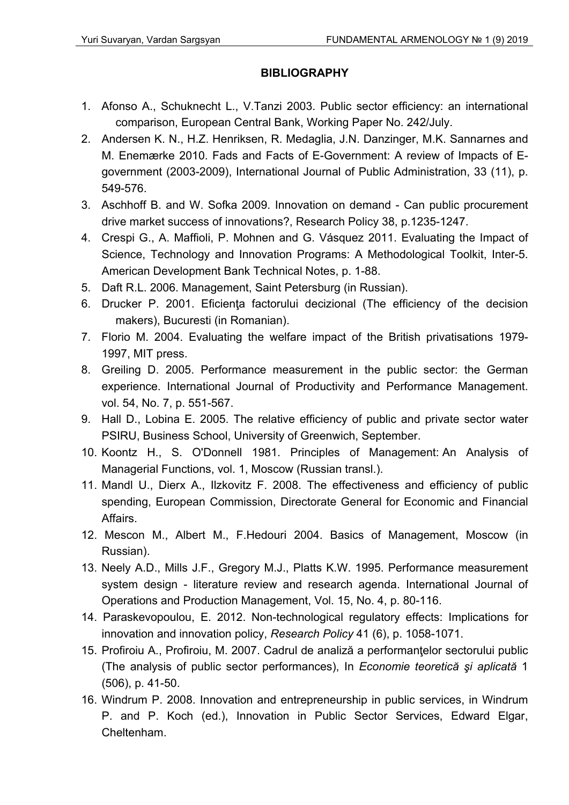## **BIBLIOGRAPHY**

- 1. Afonso A., Schuknecht L., V.Tanzi 2003. Public sector efficiency: an international comparison, European Central Bank, Working Paper No. 242/July.
- 2. Andersen K. N., H.Z. Henriksen, R. Medaglia, J.N. Danzinger, M.K. Sannarnes and M. Enemærke 2010. Fads and Facts of E-Government: A review of Impacts of Egovernment (2003-2009), International Journal of Public Administration, 33 (11), p. 549-576.
- 3. Aschhoff B. and W. Sofka 2009. Innovation on demand Can public procurement drive market success of innovations?, Research Policy 38, p.1235-1247.
- 4. Crespi G., A. Maffioli, P. Mohnen and G. Vásquez 2011. Evaluating the Impact of Science, Technology and Innovation Programs: A Methodological Toolkit, Inter-5. American Development Bank Technical Notes, p. 1-88.
- 5. Daft R.L. 2006. Management, Saint Petersburg (in Russian).
- 6. Drucker P. 2001. Eficienţa factorului decizional (The efficiency of the decision makers), Bucuresti (in Romanian).
- 7. Florio M. 2004. Evaluating the welfare impact of the British privatisations 1979- 1997, MIT press.
- 8. Greiling D. 2005. Performance measurement in the public sector: the German experience. International Journal of Productivity and Performance Management. vol. 54, No. 7, p. 551-567.
- 9. Hall D., Lobina E. 2005. The relative efficiency of public and private sector water PSIRU, Business School, University of Greenwich, September.
- 10. Koontz H., S. O'Donnell 1981. Principles of Management: An Analysis of Managerial Functions, vol. 1, Moscow (Russian transl.).
- 11. Mandl U., Dierx A., Ilzkovitz F. 2008. The effectiveness and efficiency of public spending, European Commission, Directorate General for Economic and Financial Affairs.
- 12. Mescon M., Albert M., F.Hedouri 2004. Basics of Management, Moscow (in Russian).
- 13. Neely A.D., Mills J.F., Gregory M.J., Platts K.W. 1995. Performance measurement system design - literature review and research agenda. International Journal of Operations and Production Management, Vol. 15, No. 4, p. 80-116.
- 14. Paraskevopoulou, E. 2012. Non-technological regulatory effects: Implications for innovation and innovation policy, *Research Policy* 41 (6), p. 1058-1071.
- 15. Profiroiu A., Profiroiu, M. 2007. Cadrul de analiză a performanţelor sectorului public (The analysis of public sector performances), In *Economie teoretică şi aplicată* 1 (506), p. 41-50.
- 16. Windrum P. 2008. Innovation and entrepreneurship in public services, in Windrum P. and P. Koch (ed.), Innovation in Public Sector Services, Edward Elgar, Cheltenham.